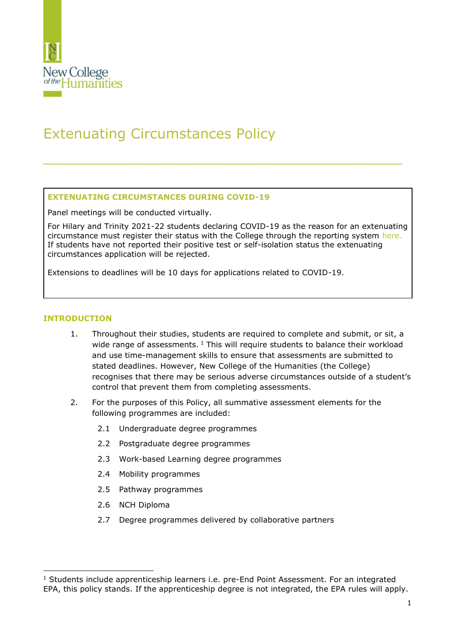

# Extenuating Circumstances Policy

# **EXTENUATING CIRCUMSTANCES DURING COVID-19**

Panel meetings will be conducted virtually.

For Hilary and Trinity 2021-22 students declaring COVID-19 as the reason for an extenuating circumstance must register their status with the College through the reporting system [here.](https://docs.google.com/forms/d/e/1FAIpQLSfHhE8WMfcJof0uWPsQYf57fUOO5kfdnIKULYXvxD0rG-sHHw/viewform) If students have not reported their positive test or self-isolation status the extenuating circumstances application will be rejected.

\_\_\_\_\_\_\_\_\_\_\_\_\_\_\_\_\_\_\_\_\_\_\_\_\_\_\_\_\_\_\_\_\_\_\_\_\_\_\_\_\_

Extensions to deadlines will be 10 days for applications related to COVID-19.

#### **INTRODUCTION**

- 1. Throughout their studies, students are required to complete and submit, or sit, a wide range of assessments.  $1$  This will require students to balance their workload and use time-management skills to ensure that assessments are submitted to stated deadlines. However, New College of the Humanities (the College) recognises that there may be serious adverse circumstances outside of a student's control that prevent them from completing assessments.
- 2. For the purposes of this Policy, all summative assessment elements for the following programmes are included:
	- 2.1 Undergraduate degree programmes
	- 2.2 Postgraduate degree programmes
	- 2.3 Work-based Learning degree programmes
	- 2.4 Mobility programmes
	- 2.5 Pathway programmes
	- 2.6 NCH Diploma
	- 2.7 Degree programmes delivered by collaborative partners

<sup>&</sup>lt;sup>1</sup> Students include apprenticeship learners i.e. pre-End Point Assessment. For an integrated EPA, this policy stands. If the apprenticeship degree is not integrated, the EPA rules will apply.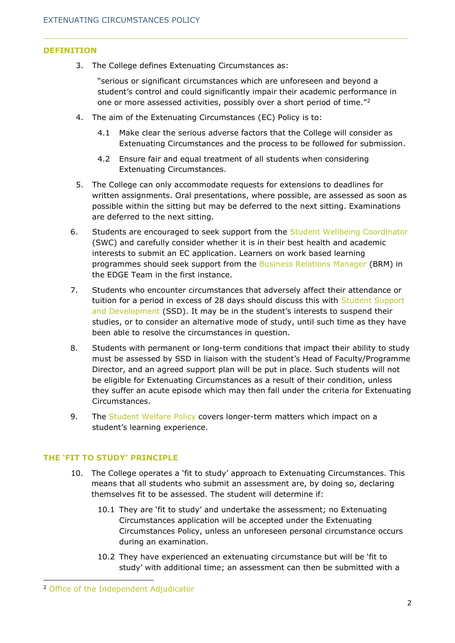#### **DEFINITION**

3. The College defines Extenuating Circumstances as:

"serious or significant circumstances which are unforeseen and beyond a student's control and could significantly impair their academic performance in one or more assessed activities, possibly over a short period of time."<sup>2</sup>

- 4. The aim of the Extenuating Circumstances (EC) Policy is to:
	- 4.1 Make clear the serious adverse factors that the College will consider as Extenuating Circumstances and the process to be followed for submission.
	- 4.2 Ensure fair and equal treatment of all students when considering Extenuating Circumstances.

 $\overline{\phantom{a}}$  , and the state of the state of the state of the state of the state of the state of the state of the state of the state of the state of the state of the state of the state of the state of the state of the stat

- 5. The College can only accommodate requests for extensions to deadlines for written assignments. Oral presentations, where possible, are assessed as soon as possible within the sitting but may be deferred to the next sitting. Examinations are deferred to the next sitting.
- 6. Students are encouraged to seek support from the [Student Wellbeing Coordinator](mailto:studentsupport@nchlondon.ac.uk) (SWC) and carefully consider whether it is in their best health and academic interests to submit an EC application. Learners on work based learning programmes should seek support from the [Business Relations Manager](mailto:edge@nchlondon.ac.uk) (BRM) in the EDGE Team in the first instance.
- 7. Students who encounter circumstances that adversely affect their attendance or tuition for a period in excess of 28 days should discuss this with [Student Support](mailto:studentsupport@nchlondon.ac.uk)  [and Development](mailto:studentsupport@nchlondon.ac.uk) (SSD). It may be in the student's interests to suspend their studies, or to consider an alternative mode of study, until such time as they have been able to resolve the circumstances in question.
- 8. Students with permanent or long-term conditions that impact their ability to study must be assessed by SSD in liaison with the student's Head of Faculty/Programme Director, and an agreed support plan will be put in place. Such students will not be eligible for Extenuating Circumstances as a result of their condition, unless they suffer an acute episode which may then fall under the criteria for Extenuating Circumstances.
- 9. The [Student Welfare Policy](https://www.nchlondon.ac.uk/about-us/academic-handbook/nch-policies-and-procedures/nch-general/) covers longer-term matters which impact on a student's learning experience.

# **THE 'FIT TO STUDY' PRINCIPLE**

- 10. The College operates a 'fit to study' approach to Extenuating Circumstances. This means that all students who submit an assessment are, by doing so, declaring themselves fit to be assessed. The student will determine if:
	- 10.1 They are 'fit to study' and undertake the assessment; no Extenuating Circumstances application will be accepted under the Extenuating Circumstances Policy, unless an unforeseen personal circumstance occurs during an examination.
	- 10.2 They have experienced an extenuating circumstance but will be 'fit to study' with additional time; an assessment can then be submitted with a

<sup>2</sup> [Office of the Independent Adjudicator](https://www.oiahe.org.uk/information/glossary/#mitcircs)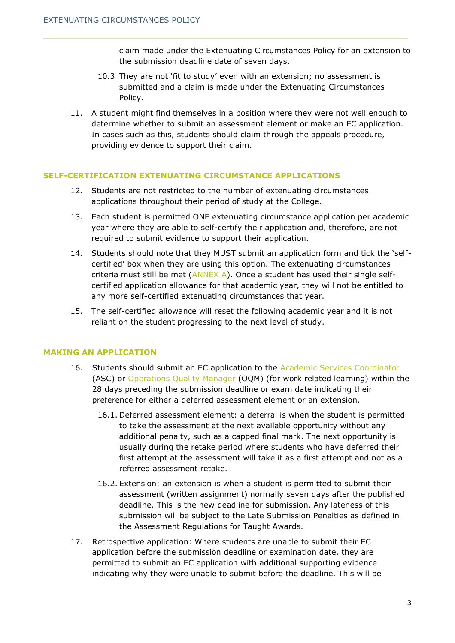claim made under the Extenuating Circumstances Policy for an extension to the submission deadline date of seven days.

10.3 They are not 'fit to study' even with an extension; no assessment is submitted and a claim is made under the Extenuating Circumstances Policy.

 $\overline{\phantom{a}}$  , and the state of the state of the state of the state of the state of the state of the state of the state of the state of the state of the state of the state of the state of the state of the state of the stat

11. A student might find themselves in a position where they were not well enough to determine whether to submit an assessment element or make an EC application. In cases such as this, students should claim through the appeals procedure, providing evidence to support their claim.

#### **SELF-CERTIFICATION EXTENUATING CIRCUMSTANCE APPLICATIONS**

- 12. Students are not restricted to the number of extenuating circumstances applications throughout their period of study at the College.
- 13. Each student is permitted ONE extenuating circumstance application per academic year where they are able to self-certify their application and, therefore, are not required to submit evidence to support their application.
- 14. Students should note that they MUST submit an application form and tick the 'selfcertified' box when they are using this option. The extenuating circumstances criteria must still be met  $(ANNEX A)$ . Once a student has used their single selfcertified application allowance for that academic year, they will not be entitled to any more self-certified extenuating circumstances that year.
- 15. The self-certified allowance will reset the following academic year and it is not reliant on the student progressing to the next level of study.

#### **MAKING AN APPLICATION**

- 16. Students should submit an EC application to the [Academic Services Coordinator](mailto:registry@nchlondon.ac.uk) (ASC) or [Operations Quality Manager](mailto:edge@nchlondon.ac.uk) (OQM) (for work related learning) within the 28 days preceding the submission deadline or exam date indicating their preference for either a deferred assessment element or an extension.
	- 16.1. Deferred assessment element: a deferral is when the student is permitted to take the assessment at the next available opportunity without any additional penalty, such as a capped final mark. The next opportunity is usually during the retake period where students who have deferred their first attempt at the assessment will take it as a first attempt and not as a referred assessment retake.
	- 16.2. Extension: an extension is when a student is permitted to submit their assessment (written assignment) normally seven days after the published deadline. This is the new deadline for submission. Any lateness of this submission will be subject to the Late Submission Penalties as defined in the Assessment Regulations for Taught Awards.
- 17. Retrospective application: Where students are unable to submit their EC application before the submission deadline or examination date, they are permitted to submit an EC application with additional supporting evidence indicating why they were unable to submit before the deadline. This will be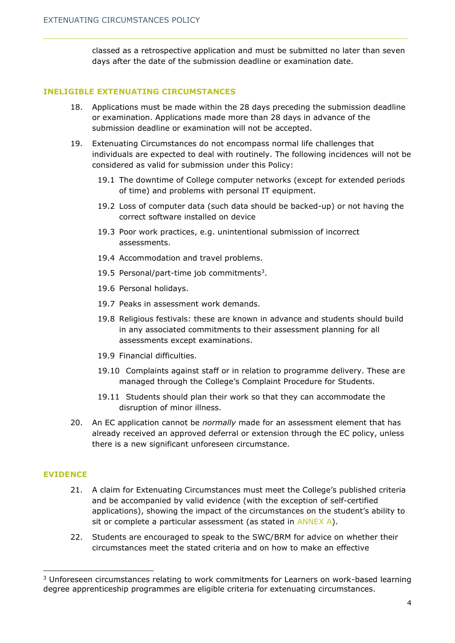classed as a retrospective application and must be submitted no later than seven days after the date of the submission deadline or examination date.

 $\overline{\phantom{a}}$  , and the state of the state of the state of the state of the state of the state of the state of the state of the state of the state of the state of the state of the state of the state of the state of the stat

#### **INELIGIBLE EXTENUATING CIRCUMSTANCES**

- 18. Applications must be made within the 28 days preceding the submission deadline or examination. Applications made more than 28 days in advance of the submission deadline or examination will not be accepted.
- 19. Extenuating Circumstances do not encompass normal life challenges that individuals are expected to deal with routinely. The following incidences will not be considered as valid for submission under this Policy:
	- 19.1 The downtime of College computer networks (except for extended periods of time) and problems with personal IT equipment.
	- 19.2 Loss of computer data (such data should be backed-up) or not having the correct software installed on device
	- 19.3 Poor work practices, e.g. unintentional submission of incorrect assessments.
	- 19.4 Accommodation and travel problems.
	- 19.5 Personal/part-time job commitments<sup>3</sup>.
	- 19.6 Personal holidays.
	- 19.7 Peaks in assessment work demands.
	- 19.8 Religious festivals: these are known in advance and students should build in any associated commitments to their assessment planning for all assessments except examinations.
	- 19.9 Financial difficulties.
	- 19.10 Complaints against staff or in relation to programme delivery. These are managed through the College's Complaint Procedure for Students.
	- 19.11 Students should plan their work so that they can accommodate the disruption of minor illness.
- 20. An EC application cannot be *normally* made for an assessment element that has already received an approved deferral or extension through the EC policy, unless there is a new significant unforeseen circumstance.

# **EVIDENCE**

- 21. A claim for Extenuating Circumstances must meet the College's published criteria and be accompanied by valid evidence (with the exception of self-certified applications), showing the impact of the circumstances on the student's ability to sit or complete a particular assessment (as stated in [ANNEX A\)](#page-10-0).
- 22. Students are encouraged to speak to the SWC/BRM for advice on whether their circumstances meet the stated criteria and on how to make an effective

<sup>&</sup>lt;sup>3</sup> Unforeseen circumstances relating to work commitments for Learners on work-based learning degree apprenticeship programmes are eligible criteria for extenuating circumstances.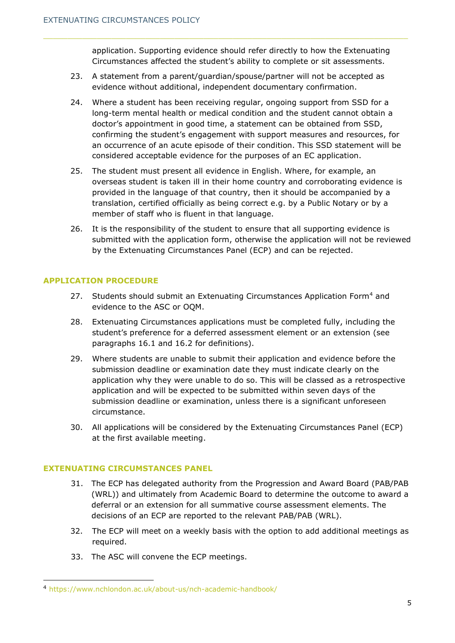application. Supporting evidence should refer directly to how the Extenuating Circumstances affected the student's ability to complete or sit assessments.

23. A statement from a parent/guardian/spouse/partner will not be accepted as evidence without additional, independent documentary confirmation.

 $\overline{\phantom{a}}$  , and the state of the state of the state of the state of the state of the state of the state of the state of the state of the state of the state of the state of the state of the state of the state of the stat

- 24. Where a student has been receiving regular, ongoing support from SSD for a long-term mental health or medical condition and the student cannot obtain a doctor's appointment in good time, a statement can be obtained from SSD, confirming the student's engagement with support measures and resources, for an occurrence of an acute episode of their condition. This SSD statement will be considered acceptable evidence for the purposes of an EC application.
- 25. The student must present all evidence in English. Where, for example, an overseas student is taken ill in their home country and corroborating evidence is provided in the language of that country, then it should be accompanied by a translation, certified officially as being correct e.g. by a Public Notary or by a member of staff who is fluent in that language.
- 26. It is the responsibility of the student to ensure that all supporting evidence is submitted with the application form, otherwise the application will not be reviewed by the Extenuating Circumstances Panel (ECP) and can be rejected.

# **APPLICATION PROCEDURE**

- 27. Students should submit an Extenuating Circumstances Application Form<sup>4</sup> and evidence to the ASC or OQM.
- 28. Extenuating Circumstances applications must be completed fully, including the student's preference for a deferred assessment element or an extension (see paragraphs 16.1 and 16.2 for definitions).
- 29. Where students are unable to submit their application and evidence before the submission deadline or examination date they must indicate clearly on the application why they were unable to do so. This will be classed as a retrospective application and will be expected to be submitted within seven days of the submission deadline or examination, unless there is a significant unforeseen circumstance.
- 30. All applications will be considered by the Extenuating Circumstances Panel (ECP) at the first available meeting.

# **EXTENUATING CIRCUMSTANCES PANEL**

- 31. The ECP has delegated authority from the Progression and Award Board (PAB/PAB (WRL)) and ultimately from Academic Board to determine the outcome to award a deferral or an extension for all summative course assessment elements. The decisions of an ECP are reported to the relevant PAB/PAB (WRL).
- 32. The ECP will meet on a weekly basis with the option to add additional meetings as required.
- 33. The ASC will convene the ECP meetings.

<sup>4</sup> [https://www.nchlondon.ac.uk/about-us/nch-academic-handbook/](https://www.nchlondon.ac.uk/about-us/nch-academic-handbook/*)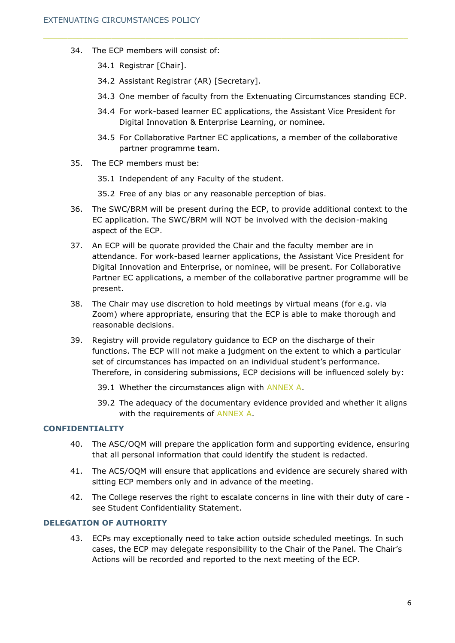- 34. The ECP members will consist of:
	- 34.1 Registrar [Chair].
	- 34.2 Assistant Registrar (AR) [Secretary].
	- 34.3 One member of faculty from the Extenuating Circumstances standing ECP.
	- 34.4 For work-based learner EC applications, the Assistant Vice President for Digital Innovation & Enterprise Learning, or nominee.

 $\overline{\phantom{a}}$  , and the state of the state of the state of the state of the state of the state of the state of the state of the state of the state of the state of the state of the state of the state of the state of the stat

- 34.5 For Collaborative Partner EC applications, a member of the collaborative partner programme team.
- 35. The ECP members must be:
	- 35.1 Independent of any Faculty of the student.
	- 35.2 Free of any bias or any reasonable perception of bias.
- 36. The SWC/BRM will be present during the ECP, to provide additional context to the EC application. The SWC/BRM will NOT be involved with the decision-making aspect of the ECP.
- 37. An ECP will be quorate provided the Chair and the faculty member are in attendance. For work-based learner applications, the Assistant Vice President for Digital Innovation and Enterprise, or nominee, will be present. For Collaborative Partner EC applications, a member of the collaborative partner programme will be present.
- 38. The Chair may use discretion to hold meetings by virtual means (for e.g. via Zoom) where appropriate, ensuring that the ECP is able to make thorough and reasonable decisions.
- 39. Registry will provide regulatory guidance to ECP on the discharge of their functions. The ECP will not make a judgment on the extent to which a particular set of circumstances has impacted on an individual student's performance. Therefore, in considering submissions, ECP decisions will be influenced solely by:
	- 39.1 Whether the circumstances align with [ANNEX A.](#page-10-0)
	- 39.2 The adequacy of the documentary evidence provided and whether it aligns with the requirements of [ANNEX A.](#page-10-0)

# **CONFIDENTIALITY**

- 40. The ASC/OQM will prepare the application form and supporting evidence, ensuring that all personal information that could identify the student is redacted.
- 41. The ACS/OQM will ensure that applications and evidence are securely shared with sitting ECP members only and in advance of the meeting.
- 42. The College reserves the right to escalate concerns in line with their duty of care see [Student Confidentiality Statement.](https://www.nchlondon.ac.uk/about-us/academic-handbook/nch-policies-and-procedures/nch-general/)

# **DELEGATION OF AUTHORITY**

43. ECPs may exceptionally need to take action outside scheduled meetings. In such cases, the ECP may delegate responsibility to the Chair of the Panel. The Chair's Actions will be recorded and reported to the next meeting of the ECP.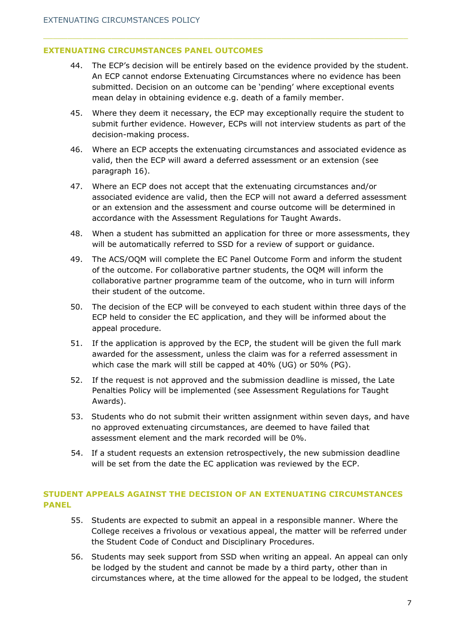#### **EXTENUATING CIRCUMSTANCES PANEL OUTCOMES**

44. The ECP's decision will be entirely based on the evidence provided by the student. An ECP cannot endorse Extenuating Circumstances where no evidence has been submitted. Decision on an outcome can be 'pending' where exceptional events mean delay in obtaining evidence e.g. death of a family member.

 $\overline{\phantom{a}}$  , and the state of the state of the state of the state of the state of the state of the state of the state of the state of the state of the state of the state of the state of the state of the state of the stat

- 45. Where they deem it necessary, the ECP may exceptionally require the student to submit further evidence. However, ECPs will not interview students as part of the decision-making process.
- 46. Where an ECP accepts the extenuating circumstances and associated evidence as valid, then the ECP will award a deferred assessment or an extension (see paragraph 16).
- 47. Where an ECP does not accept that the extenuating circumstances and/or associated evidence are valid, then the ECP will not award a deferred assessment or an extension and the assessment and course outcome will be determined in accordance with the Assessment Regulations for Taught Awards.
- 48. When a student has submitted an application for three or more assessments, they will be automatically referred to SSD for a review of support or guidance.
- 49. The ACS/OQM will complete the EC Panel Outcome Form and inform the student of the outcome. For collaborative partner students, the OQM will inform the collaborative partner programme team of the outcome, who in turn will inform their student of the outcome.
- 50. The decision of the ECP will be conveyed to each student within three days of the ECP held to consider the EC application, and they will be informed about the appeal procedure.
- 51. If the application is approved by the ECP, the student will be given the full mark awarded for the assessment, unless the claim was for a referred assessment in which case the mark will still be capped at 40% (UG) or 50% (PG).
- 52. If the request is not approved and the submission deadline is missed, the Late Penalties Policy will be implemented (see [Assessment Regulations for Taught](https://www.nchlondon.ac.uk/wp-content/uploads/2021/06/3.2-Assessment-Regulations-for-Taught-Awards.pdf)  [Awards\)](https://www.nchlondon.ac.uk/wp-content/uploads/2021/06/3.2-Assessment-Regulations-for-Taught-Awards.pdf).
- 53. Students who do not submit their written assignment within seven days, and have no approved extenuating circumstances, are deemed to have failed that assessment element and the mark recorded will be 0%.
- 54. If a student requests an extension retrospectively, the new submission deadline will be set from the date the EC application was reviewed by the ECP.

# **STUDENT APPEALS AGAINST THE DECISION OF AN EXTENUATING CIRCUMSTANCES PANEL**

- 55. Students are expected to submit an appeal in a responsible manner. Where the College receives a frivolous or vexatious appeal, the matter will be referred under the Student Code of Conduct and Disciplinary Procedures.
- 56. Students may seek support from SSD when writing an appeal. An appeal can only be lodged by the student and cannot be made by a third party, other than in circumstances where, at the time allowed for the appeal to be lodged, the student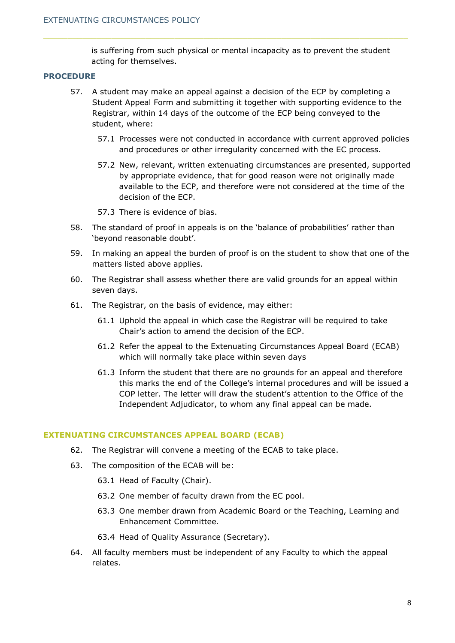is suffering from such physical or mental incapacity as to prevent the student acting for themselves.

 $\overline{\phantom{a}}$  , and the state of the state of the state of the state of the state of the state of the state of the state of the state of the state of the state of the state of the state of the state of the state of the stat

#### **PROCEDURE**

- 57. A student may make an appeal against a decision of the ECP by completing a Student Appeal Form and submitting it together with supporting evidence to the Registrar, within 14 days of the outcome of the ECP being conveyed to the student, where:
	- 57.1 Processes were not conducted in accordance with current approved policies and procedures or other irregularity concerned with the EC process.
	- 57.2 New, relevant, written extenuating circumstances are presented, supported by appropriate evidence, that for good reason were not originally made available to the ECP, and therefore were not considered at the time of the decision of the ECP.
	- 57.3 There is evidence of bias.
- 58. The standard of proof in appeals is on the 'balance of probabilities' rather than 'beyond reasonable doubt'.
- 59. In making an appeal the burden of proof is on the student to show that one of the matters listed above applies.
- 60. The Registrar shall assess whether there are valid grounds for an appeal within seven days.
- 61. The Registrar, on the basis of evidence, may either:
	- 61.1 Uphold the appeal in which case the Registrar will be required to take Chair's action to amend the decision of the ECP.
	- 61.2 Refer the appeal to the Extenuating Circumstances Appeal Board (ECAB) which will normally take place within seven days
	- 61.3 Inform the student that there are no grounds for an appeal and therefore this marks the end of the College's internal procedures and will be issued a COP letter. The letter will draw the student's attention to the Office of the Independent Adjudicator, to whom any final appeal can be made.

# **EXTENUATING CIRCUMSTANCES APPEAL BOARD (ECAB)**

- 62. The Registrar will convene a meeting of the ECAB to take place.
- 63. The composition of the ECAB will be:
	- 63.1 Head of Faculty (Chair).
	- 63.2 One member of faculty drawn from the EC pool.
	- 63.3 One member drawn from Academic Board or the Teaching, Learning and Enhancement Committee.
	- 63.4 Head of Quality Assurance (Secretary).
- 64. All faculty members must be independent of any Faculty to which the appeal relates.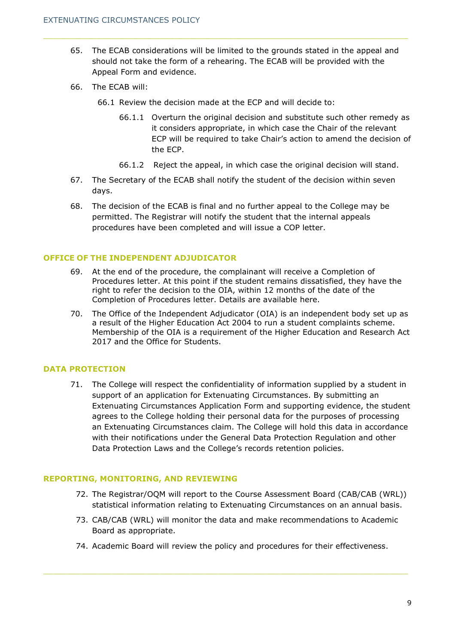65. The ECAB considerations will be limited to the grounds stated in the appeal and should not take the form of a rehearing. The ECAB will be provided with the Appeal Form and evidence.

 $\overline{\phantom{a}}$  , and the state of the state of the state of the state of the state of the state of the state of the state of the state of the state of the state of the state of the state of the state of the state of the stat

- 66. The ECAB will:
	- 66.1 Review the decision made at the ECP and will decide to:
		- 66.1.1 Overturn the original decision and substitute such other remedy as it considers appropriate, in which case the Chair of the relevant ECP will be required to take Chair's action to amend the decision of the ECP.
		- 66.1.2 Reject the appeal, in which case the original decision will stand.
- 67. The Secretary of the ECAB shall notify the student of the decision within seven days.
- 68. The decision of the ECAB is final and no further appeal to the College may be permitted. The Registrar will notify the student that the internal appeals procedures have been completed and will issue a COP letter.

#### **OFFICE OF THE INDEPENDENT ADJUDICATOR**

- 69. At the end of the procedure, the complainant will receive a Completion of Procedures letter. At this point if the student remains dissatisfied, they have the right to refer the decision to the OIA, within 12 months of the date of the Completion of Procedures letter. Details are available [here.](http://www.oiahe.org.uk/making-a-complaint-to-the-oia/how-to-make-a-complaint.aspx)
- 70. The Office of the Independent Adjudicator (OIA) is an independent body set up as a result of the Higher Education Act 2004 to run a student complaints scheme. Membership of the OIA is a requirement of the Higher Education and Research Act 2017 and the Office for Students.

# **DATA PROTECTION**

71. The College will respect the confidentiality of information supplied by a student in support of an application for Extenuating Circumstances. By submitting an Extenuating Circumstances Application Form and supporting evidence, the student agrees to the College holding their personal data for the purposes of processing an Extenuating Circumstances claim. The College will hold this data in accordance with their notifications under the General Data Protection Regulation and other Data Protection Laws and the College's records retention policies.

#### **REPORTING, MONITORING, AND REVIEWING**

- 72. The Registrar/OQM will report to the Course Assessment Board (CAB/CAB (WRL)) statistical information relating to Extenuating Circumstances on an annual basis.
- 73. CAB/CAB (WRL) will monitor the data and make recommendations to Academic Board as appropriate.
- 74. Academic Board will review the policy and procedures for their effectiveness.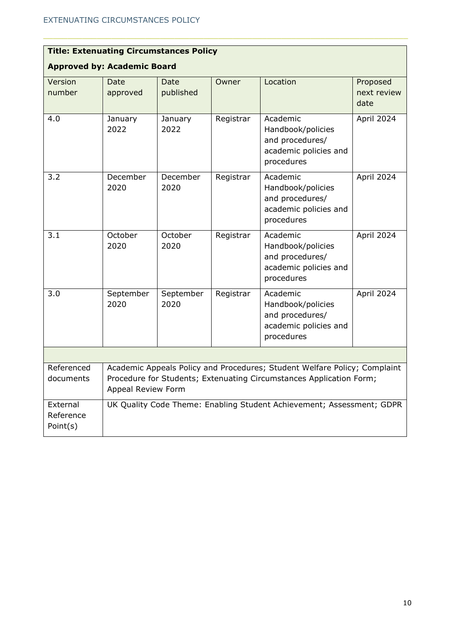| <b>Title: Extenuating Circumstances Policy</b> |                                                                                                                                                                        |                          |           |                                                                                         |                                 |  |
|------------------------------------------------|------------------------------------------------------------------------------------------------------------------------------------------------------------------------|--------------------------|-----------|-----------------------------------------------------------------------------------------|---------------------------------|--|
| <b>Approved by: Academic Board</b>             |                                                                                                                                                                        |                          |           |                                                                                         |                                 |  |
| Version<br>number                              | <b>Date</b><br>approved                                                                                                                                                | <b>Date</b><br>published | Owner     | Location                                                                                | Proposed<br>next review<br>date |  |
| 4.0                                            | January<br>2022                                                                                                                                                        | January<br>2022          | Registrar | Academic<br>Handbook/policies<br>and procedures/<br>academic policies and<br>procedures | April 2024                      |  |
| 3.2                                            | December<br>2020                                                                                                                                                       | December<br>2020         | Registrar | Academic<br>Handbook/policies<br>and procedures/<br>academic policies and<br>procedures | April 2024                      |  |
| 3.1                                            | October<br>2020                                                                                                                                                        | October<br>2020          | Registrar | Academic<br>Handbook/policies<br>and procedures/<br>academic policies and<br>procedures | April 2024                      |  |
| 3.0                                            | September<br>2020                                                                                                                                                      | September<br>2020        | Registrar | Academic<br>Handbook/policies<br>and procedures/<br>academic policies and<br>procedures | April 2024                      |  |
|                                                |                                                                                                                                                                        |                          |           |                                                                                         |                                 |  |
| Referenced<br>documents                        | Academic Appeals Policy and Procedures; Student Welfare Policy; Complaint<br>Procedure for Students; Extenuating Circumstances Application Form;<br>Appeal Review Form |                          |           |                                                                                         |                                 |  |
| External<br>Reference<br>Point(s)              | UK Quality Code Theme: Enabling Student Achievement; Assessment; GDPR                                                                                                  |                          |           |                                                                                         |                                 |  |

 $\overline{\phantom{a}}$  , and the state of the state of the state of the state of the state of the state of the state of the state of the state of the state of the state of the state of the state of the state of the state of the stat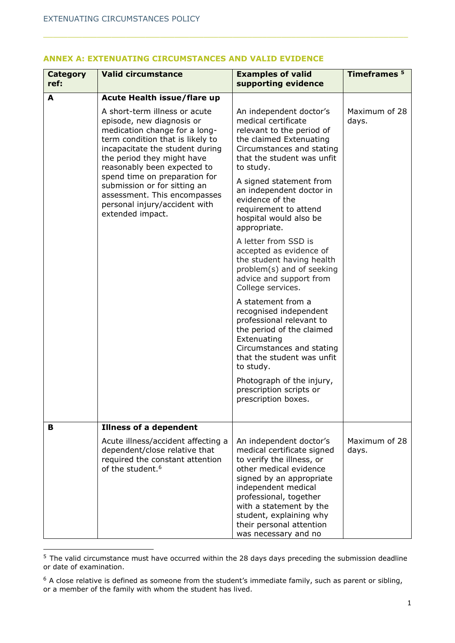| <b>Category</b><br>ref: | <b>Valid circumstance</b>                                                                                                                                                                                                                                                                                                                                                             | <b>Examples of valid</b><br>supporting evidence                                                                                                                                                                                                                                                     | Timeframes <sup>5</sup> |
|-------------------------|---------------------------------------------------------------------------------------------------------------------------------------------------------------------------------------------------------------------------------------------------------------------------------------------------------------------------------------------------------------------------------------|-----------------------------------------------------------------------------------------------------------------------------------------------------------------------------------------------------------------------------------------------------------------------------------------------------|-------------------------|
| A                       | Acute Health issue/flare up                                                                                                                                                                                                                                                                                                                                                           |                                                                                                                                                                                                                                                                                                     |                         |
|                         | A short-term illness or acute<br>episode, new diagnosis or<br>medication change for a long-<br>term condition that is likely to<br>incapacitate the student during<br>the period they might have<br>reasonably been expected to<br>spend time on preparation for<br>submission or for sitting an<br>assessment. This encompasses<br>personal injury/accident with<br>extended impact. | An independent doctor's<br>medical certificate<br>relevant to the period of<br>the claimed Extenuating<br>Circumstances and stating<br>that the student was unfit<br>to study.                                                                                                                      | Maximum of 28<br>days.  |
|                         |                                                                                                                                                                                                                                                                                                                                                                                       | A signed statement from<br>an independent doctor in<br>evidence of the<br>requirement to attend<br>hospital would also be<br>appropriate.                                                                                                                                                           |                         |
|                         |                                                                                                                                                                                                                                                                                                                                                                                       | A letter from SSD is<br>accepted as evidence of<br>the student having health<br>problem(s) and of seeking<br>advice and support from<br>College services.                                                                                                                                           |                         |
|                         |                                                                                                                                                                                                                                                                                                                                                                                       | A statement from a<br>recognised independent<br>professional relevant to<br>the period of the claimed<br>Extenuating<br>Circumstances and stating<br>that the student was unfit<br>to study.                                                                                                        |                         |
|                         |                                                                                                                                                                                                                                                                                                                                                                                       | Photograph of the injury,<br>prescription scripts or<br>prescription boxes.                                                                                                                                                                                                                         |                         |
| B                       | <b>Illness of a dependent</b>                                                                                                                                                                                                                                                                                                                                                         |                                                                                                                                                                                                                                                                                                     |                         |
|                         | Acute illness/accident affecting a<br>dependent/close relative that<br>required the constant attention<br>of the student. <sup>6</sup>                                                                                                                                                                                                                                                | An independent doctor's<br>medical certificate signed<br>to verify the illness, or<br>other medical evidence<br>signed by an appropriate<br>independent medical<br>professional, together<br>with a statement by the<br>student, explaining why<br>their personal attention<br>was necessary and no | Maximum of 28<br>days.  |

#### <span id="page-10-0"></span>**ANNEX A: EXTENUATING CIRCUMSTANCES AND VALID EVIDENCE**

 $\overline{\phantom{a}}$  , and the state of the state of the state of the state of the state of the state of the state of the state of the state of the state of the state of the state of the state of the state of the state of the stat

 $5$  The valid circumstance must have occurred within the 28 days days preceding the submission deadline or date of examination.

 $6$  A close relative is defined as someone from the student's immediate family, such as parent or sibling, or a member of the family with whom the student has lived.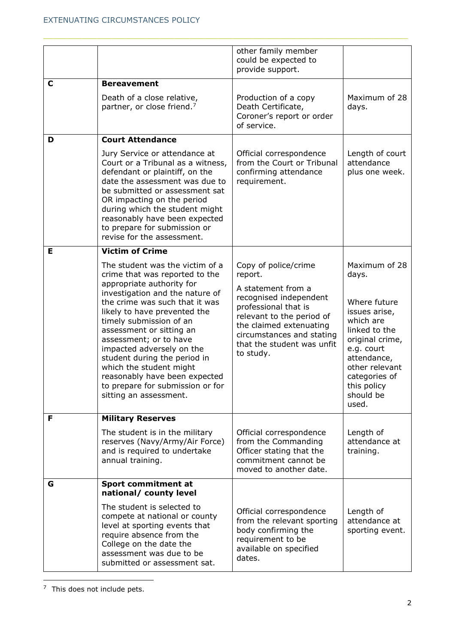|   |                                                                                                                                                                                                                                                                                                                                                                                                                                                                             | other family member<br>could be expected to<br>provide support.                                                                                                                                                                         |                                                                                                                                                                                                               |
|---|-----------------------------------------------------------------------------------------------------------------------------------------------------------------------------------------------------------------------------------------------------------------------------------------------------------------------------------------------------------------------------------------------------------------------------------------------------------------------------|-----------------------------------------------------------------------------------------------------------------------------------------------------------------------------------------------------------------------------------------|---------------------------------------------------------------------------------------------------------------------------------------------------------------------------------------------------------------|
| C | <b>Bereavement</b>                                                                                                                                                                                                                                                                                                                                                                                                                                                          |                                                                                                                                                                                                                                         |                                                                                                                                                                                                               |
|   | Death of a close relative,<br>partner, or close friend. <sup>7</sup>                                                                                                                                                                                                                                                                                                                                                                                                        | Production of a copy<br>Death Certificate,<br>Coroner's report or order<br>of service.                                                                                                                                                  | Maximum of 28<br>days.                                                                                                                                                                                        |
| D | <b>Court Attendance</b>                                                                                                                                                                                                                                                                                                                                                                                                                                                     |                                                                                                                                                                                                                                         |                                                                                                                                                                                                               |
|   | Jury Service or attendance at<br>Court or a Tribunal as a witness,<br>defendant or plaintiff, on the<br>date the assessment was due to<br>be submitted or assessment sat<br>OR impacting on the period<br>during which the student might<br>reasonably have been expected<br>to prepare for submission or<br>revise for the assessment.                                                                                                                                     | Official correspondence<br>from the Court or Tribunal<br>confirming attendance<br>requirement.                                                                                                                                          | Length of court<br>attendance<br>plus one week.                                                                                                                                                               |
| E | <b>Victim of Crime</b>                                                                                                                                                                                                                                                                                                                                                                                                                                                      |                                                                                                                                                                                                                                         |                                                                                                                                                                                                               |
|   | The student was the victim of a<br>crime that was reported to the<br>appropriate authority for<br>investigation and the nature of<br>the crime was such that it was<br>likely to have prevented the<br>timely submission of an<br>assessment or sitting an<br>assessment; or to have<br>impacted adversely on the<br>student during the period in<br>which the student might<br>reasonably have been expected<br>to prepare for submission or for<br>sitting an assessment. | Copy of police/crime<br>report.<br>A statement from a<br>recognised independent<br>professional that is<br>relevant to the period of<br>the claimed extenuating<br>circumstances and stating<br>that the student was unfit<br>to study. | Maximum of 28<br>days.<br>Where future<br>issues arise,<br>which are<br>linked to the<br>original crime,<br>e.g. court<br>attendance,<br>other relevant<br>categories of<br>this policy<br>should be<br>used. |
| F | <b>Military Reserves</b>                                                                                                                                                                                                                                                                                                                                                                                                                                                    |                                                                                                                                                                                                                                         |                                                                                                                                                                                                               |
|   | The student is in the military<br>reserves (Navy/Army/Air Force)<br>and is required to undertake<br>annual training.                                                                                                                                                                                                                                                                                                                                                        | Official correspondence<br>from the Commanding<br>Officer stating that the<br>commitment cannot be<br>moved to another date.                                                                                                            | Length of<br>attendance at<br>training.                                                                                                                                                                       |
| G | Sport commitment at<br>national/ county level                                                                                                                                                                                                                                                                                                                                                                                                                               |                                                                                                                                                                                                                                         |                                                                                                                                                                                                               |
|   | The student is selected to<br>compete at national or county<br>level at sporting events that<br>require absence from the<br>College on the date the<br>assessment was due to be<br>submitted or assessment sat.                                                                                                                                                                                                                                                             | Official correspondence<br>from the relevant sporting<br>body confirming the<br>requirement to be<br>available on specified<br>dates.                                                                                                   | Length of<br>attendance at<br>sporting event.                                                                                                                                                                 |

 $7$  This does not include pets.